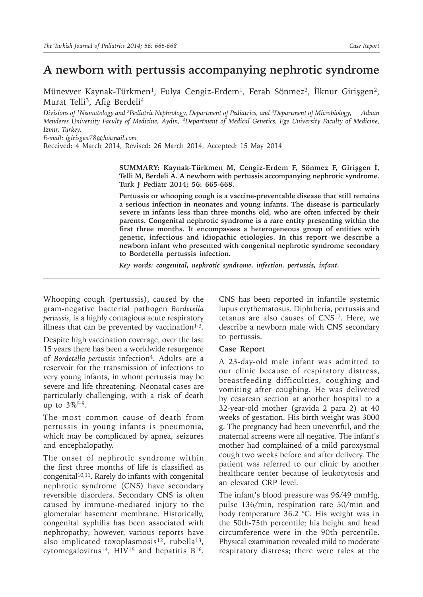# **A newborn with pertussis accompanying nephrotic syndrome**

Münevver Kaynak-Türkmen<sup>1</sup>, Fulya Cengiz-Erdem<sup>1</sup>, Ferah Sönmez<sup>2</sup>, İlknur Girişgen<sup>2</sup>, Murat Telli<sup>3</sup>, Afig Berdeli<sup>4</sup>

*Divisions of 1Neonatology and 2Pediatric Nephrology, Department of Pediatrics, and 3Department of Microbiology, Adnan Menderes University Faculty of Medicine, Aydın, 4Department of Medical Genetics, Ege University Faculty of Medicine, İzmir, Turkey.*

*E-mail: igirisgen78@hotmail.com*

Received: 4 March 2014, Revised: 26 March 2014, Accepted: 15 May 2014

**SUMMARY: Kaynak-Türkmen M, Cengiz-Erdem F, Sönmez F, Girişgen İ, Telli M, Berdeli A. A newborn with pertussis accompanying nephrotic syndrome. Turk J Pediatr 2014; 56: 665-668.**

**Pertussis or whooping cough is a vaccine-preventable disease that still remains a serious infection in neonates and young infants. The disease is particularly severe in infants less than three months old, who are often infected by their parents. Congenital nephrotic syndrome is a rare entity presenting within the first three months. It encompasses a heterogeneous group of entities with genetic, infectious and idiopathic etiologies. In this report we describe a newborn infant who presented with congenital nephrotic syndrome secondary to Bordetella pertussis infection.** 

*Key words: congenital, nephrotic syndrome, infection, pertussis, infant.*

Whooping cough (pertussis), caused by the gram-negative bacterial pathogen *Bordetella pertussis*, is a highly contagious acute respiratory illness that can be prevented by vaccination<sup>1-3</sup>.

Despite high vaccination coverage, over the last 15 years there has been a worldwide resurgence of *Bordetella pertussis* infection<sup>4</sup>. Adults are a reservoir for the transmission of infections to very young infants, in whom pertussis may be severe and life threatening. Neonatal cases are particularly challenging, with a risk of death up to 3%5-9.

The most common cause of death from pertussis in young infants is pneumonia, which may be complicated by apnea, seizures and encephalopathy.

The onset of nephrotic syndrome within the first three months of life is classified as congenital $10,11$ . Rarely do infants with congenital nephrotic syndrome (CNS) have secondary reversible disorders. Secondary CNS is often caused by immune-mediated injury to the glomerular basement membrane. Historically, congenital syphilis has been associated with nephropathy; however, various reports have also implicated toxoplasmosis<sup>12</sup>, rubella<sup>13</sup>, cytomegalovirus<sup>14</sup>, HIV<sup>15</sup> and hepatitis  $B^{16}$ . CNS has been reported in infantile systemic lupus erythematosus. Diphtheria, pertussis and tetanus are also causes of CNS17. Here, we describe a newborn male with CNS secondary to pertussis.

#### **Case Report**

A 23-day-old male infant was admitted to our clinic because of respiratory distress, breastfeeding difficulties, coughing and vomiting after coughing. He was delivered by cesarean section at another hospital to a 32-year-old mother (gravida 2 para 2) at 40 weeks of gestation. His birth weight was 3000 g. The pregnancy had been uneventful, and the maternal screens were all negative. The infant's mother had complained of a mild paroxysmal cough two weeks before and after delivery. The patient was referred to our clinic by another healthcare center because of leukocytosis and an elevated CRP level.

The infant's blood pressure was 96/49 mmHg, pulse 136/min, respiration rate 50/min and body temperature 36.2 °C. His weight was in the 50th-75th percentile; his height and head circumference were in the 90th percentile. Physical examination revealed mild to moderate respiratory distress; there were rales at the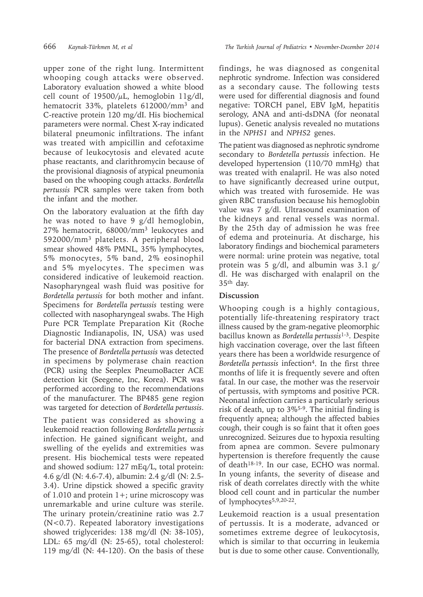upper zone of the right lung. Intermittent whooping cough attacks were observed. Laboratory evaluation showed a white blood cell count of  $19500/\mu L$ , hemoglobin  $11g/dl$ , hematocrit 33%, platelets 612000/mm3 and C-reactive protein 120 mg/dI. His biochemical parameters were normal. Chest X-ray indicated bilateral pneumonic infiltrations. The infant was treated with ampicillin and cefotaxime because of leukocytosis and elevated acute phase reactants, and clarithromycin because of the provisional diagnosis of atypical pneumonia based on the whooping cough attacks. *Bordetella pertussis* PCR samples were taken from both the infant and the mother.

On the laboratory evaluation at the fifth day he was noted to have 9 g/dl hemoglobin, 27% hematocrit, 68000/mm<sup>3</sup> leukocytes and 592000/mm<sup>3</sup> platelets. A peripheral blood smear showed 48% PMNL, 35% lymphocytes, 5% monocytes, 5% band, 2% eosinophil and 5% myelocytes. The specimen was considered indicative of leukemoid reaction. Nasopharyngeal wash fluid was positive for *Bordetella pertussis* for both mother and infant. Specimens for *Bordetella pertussis* testing were collected with nasopharyngeal swabs. The High Pure PCR Template Preparation Kit (Roche Diagnostic Indianapolis, IN, USA) was used for bacterial DNA extraction from specimens. The presence of *Bordetella pertussis* was detected in specimens by polymerase chain reaction (PCR) using the Seeplex PneumoBacter ACE detection kit (Seegene, Inc, Korea). PCR was performed according to the recommendations of the manufacturer. The BP485 gene region was targeted for detection of *Bordetella pertussis*.

The patient was considered as showing a leukemoid reaction following *Bordetella pertussis*  infection. He gained significant weight, and swelling of the eyelids and extremities was present. His biochemical tests were repeated and showed sodium: 127 mEq/L, total protein: 4.6 g/dl (N: 4.6-7.4), albumin: 2.4 g/dl (N: 2.5- 3.4). Urine dipstick showed a specific gravity of 1.010 and protein  $1+$ ; urine microscopy was unremarkable and urine culture was sterile. The urinary protein/creatinine ratio was 2.7 (N<0.7). Repeated laboratory investigations showed triglycerides: 138 mg/dl (N: 38-105), LDL: 65 mg/dl (N: 25-65), total cholesterol: 119 mg/dl (N: 44-120). On the basis of these

findings, he was diagnosed as congenital nephrotic syndrome. Infection was considered as a secondary cause. The following tests were used for differential diagnosis and found negative: TORCH panel, EBV IgM, hepatitis serology, ANA and anti-dsDNA (for neonatal lupus). Genetic analysis revealed no mutations in the *NPHS1* and *NPHS2* genes.

The patient was diagnosed as nephrotic syndrome secondary to *Bordetella pertussis* infection. He developed hypertension (110/70 mmHg) that was treated with enalapril. He was also noted to have significantly decreased urine output, which was treated with furosemide. He was given RBC transfusion because his hemoglobin value was 7 g/dl. Ultrasound examination of the kidneys and renal vessels was normal. By the 25th day of admission he was free of edema and proteinuria. At discharge, his laboratory findings and biochemical parameters were normal: urine protein was negative, total protein was 5 g/dl, and albumin was 3.1 g/ dl. He was discharged with enalapril on the 35th day.

## **Discussion**

Whooping cough is a highly contagious, potentially life-threatening respiratory tract illness caused by the gram-negative pleomorphic bacillus known as *Bordetella pertussis*1-3. Despite high vaccination coverage, over the last fifteen years there has been a worldwide resurgence of *Bordetella pertussis* infection<sup>4</sup>. In the first three months of life it is frequently severe and often fatal. In our case, the mother was the reservoir of pertussis, with symptoms and positive PCR. Neonatal infection carries a particularly serious risk of death, up to 3%5-9. The initial finding is frequently apnea; although the affected babies cough, their cough is so faint that it often goes unrecognized. Seizures due to hypoxia resulting from apnea are common. Severe pulmonary hypertension is therefore frequently the cause of death18-19. In our case, ECHO was normal. In young infants, the severity of disease and risk of death correlates directly with the white blood cell count and in particular the number of lymphocytes5,9,20-22.

Leukemoid reaction is a usual presentation of pertussis. It is a moderate, advanced or sometimes extreme degree of leukocytosis, which is similar to that occurring in leukemia but is due to some other cause. Conventionally,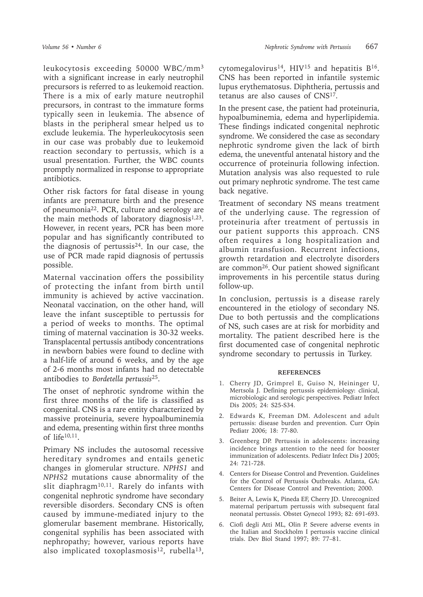leukocytosis exceeding 50000 WBC/mm<sup>3</sup> with a significant increase in early neutrophil precursors is referred to as leukemoid reaction. There is a mix of early mature neutrophil precursors, in contrast to the immature forms typically seen in leukemia. The absence of blasts in the peripheral smear helped us to exclude leukemia. The hyperleukocytosis seen in our case was probably due to leukemoid reaction secondary to pertussis, which is a usual presentation. Further, the WBC counts promptly normalized in response to appropriate antibiotics.

Other risk factors for fatal disease in young infants are premature birth and the presence of pneumonia22. PCR, culture and serology are the main methods of laboratory diagnosis $1,23$ . However, in recent years, PCR has been more popular and has significantly contributed to the diagnosis of pertussis<sup>24</sup>. In our case, the use of PCR made rapid diagnosis of pertussis possible.

Maternal vaccination offers the possibility of protecting the infant from birth until immunity is achieved by active vaccination. Neonatal vaccination, on the other hand, will leave the infant susceptible to pertussis for a period of weeks to months. The optimal timing of maternal vaccination is 30-32 weeks. Transplacental pertussis antibody concentrations in newborn babies were found to decline with a half-life of around 6 weeks, and by the age of 2-6 months most infants had no detectable antibodies to *Bordetella pertussis*<sup>25</sup>.

The onset of nephrotic syndrome within the first three months of the life is classified as congenital. CNS is a rare entity characterized by massive proteinuria, severe hypoalbuminemia and edema, presenting within first three months of life $10,11$ .

Primary NS includes the autosomal recessive hereditary syndromes and entails genetic changes in glomerular structure. *NPHS1* and *NPHS2* mutations cause abnormality of the slit diaphragm<sup>10,11</sup>. Rarely do infants with congenital nephrotic syndrome have secondary reversible disorders. Secondary CNS is often caused by immune-mediated injury to the glomerular basement membrane. Historically, congenital syphilis has been associated with nephropathy; however, various reports have also implicated toxoplasmosis<sup>12</sup>, rubella<sup>13</sup>,

cytomegalovirus<sup>14</sup>, HIV15 and hepatitis B16. CNS has been reported in infantile systemic lupus erythematosus. Diphtheria, pertussis and tetanus are also causes of CNS17.

In the present case, the patient had proteinuria, hypoalbuminemia, edema and hyperlipidemia. These findings indicated congenital nephrotic syndrome. We considered the case as secondary nephrotic syndrome given the lack of birth edema, the uneventful antenatal history and the occurrence of proteinuria following infection. Mutation analysis was also requested to rule out primary nephrotic syndrome. The test came back negative.

Treatment of secondary NS means treatment of the underlying cause. The regression of proteinuria after treatment of pertussis in our patient supports this approach. CNS often requires a long hospitalization and albumin transfusion. Recurrent infections, growth retardation and electrolyte disorders are common26. Our patient showed significant improvements in his percentile status during follow-up.

In conclusion, pertussis is a disease rarely encountered in the etiology of secondary NS. Due to both pertussis and the complications of NS, such cases are at risk for morbidity and mortality. The patient described here is the first documented case of congenital nephrotic syndrome secondary to pertussis in Turkey.

### **REFERENCES**

- 1. Cherry JD, Grimprel E, Guiso N, Heininger U, Mertsola J. Defining pertussis epidemiology: clinical, microbiologic and serologic perspectives. Pediatr Infect Dis 2005; 24: S25-S34.
- 2. Edwards K, Freeman DM. Adolescent and adult pertussis: disease burden and prevention. Curr Opin Pediatr 2006; 18: 77-80.
- 3. Greenberg DP. Pertussis in adolescents: increasing incidence brings attention to the need for booster immunization of adolescents. Pediatr Infect Dis J 2005; 24: 721-728.
- 4. Centers for Disease Control and Prevention. Guidelines for the Control of Pertussis Outbreaks. Atlanta, GA: Centers for Disease Control and Prevention; 2000.
- 5. Beiter A, Lewis K, Pineda EF, Cherry JD. Unrecognized maternal peripartum pertussis with subsequent fatal neonatal pertussis. Obstet Gynecol 1993; 82: 691-693.
- 6. Ciofi degli Atti ML, Olin P. Severe adverse events in the Italian and Stockholm I pertussis vaccine clinical trials. Dev Biol Stand 1997; 89: 77–81.